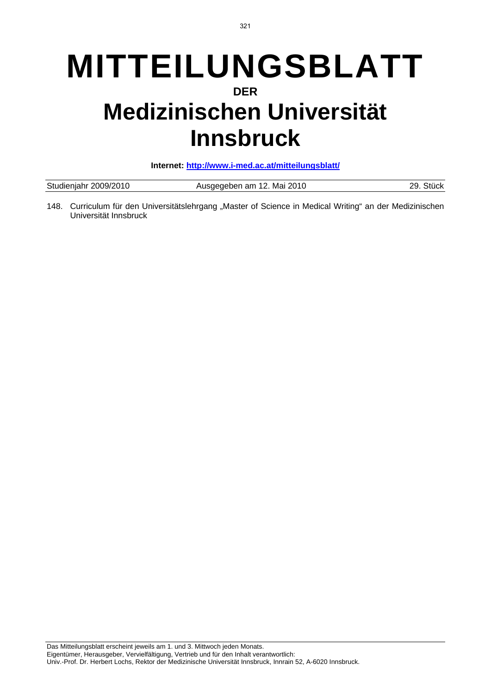# **MITTEILUNGSBLATT DER Medizinischen Universität Innsbruck**

**Internet: http://www.i-med.ac.at/mitteilungsblatt/**

| Studienjahr 2009/2010 | Ausgegeben am 12. Mai 2010 | 29 |
|-----------------------|----------------------------|----|
|                       |                            |    |

148. Curriculum für den Universitätslehrgang "Master of Science in Medical Writing" an der Medizinischen Universität Innsbruck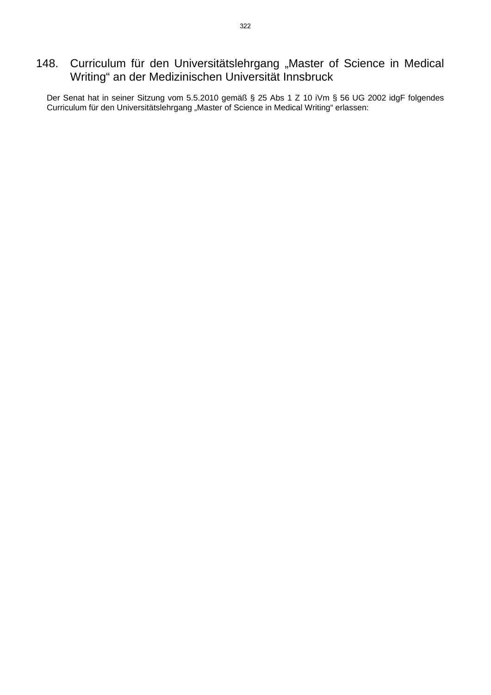# 148. Curriculum für den Universitätslehrgang "Master of Science in Medical Writing" an der Medizinischen Universität Innsbruck

Der Senat hat in seiner Sitzung vom 5.5.2010 gemäß § 25 Abs 1 Z 10 iVm § 56 UG 2002 idgF folgendes Curriculum für den Universitätslehrgang "Master of Science in Medical Writing" erlassen: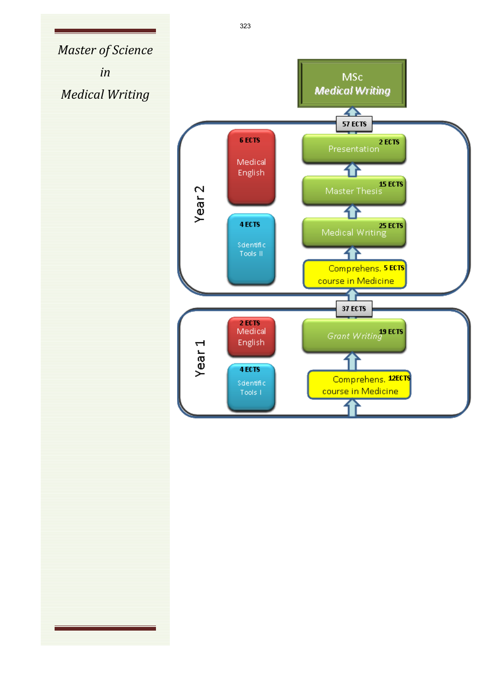*Master of Science in* **MSc Medical Writing** *Medical Writing*  $\overline{\textbf{A}}$ **57 ECTS** Presentation 6 ECTS Medical 7F English IS ECTS<br>Master Thesis Year<sub>2</sub> 7F 25 ECTS<br>Medical Writing 4 ECTS Scientific 7F Tools II Comprehens, 5 ECTS course in Medicine **37 ECTS** 2 ECTS<br>Medical **Grant Writing**<sup>19</sup> ECTS Year<sub>1</sub> English 4 ECTS Comprehens, 12ECTS Scientific course in Medicine Tools I

323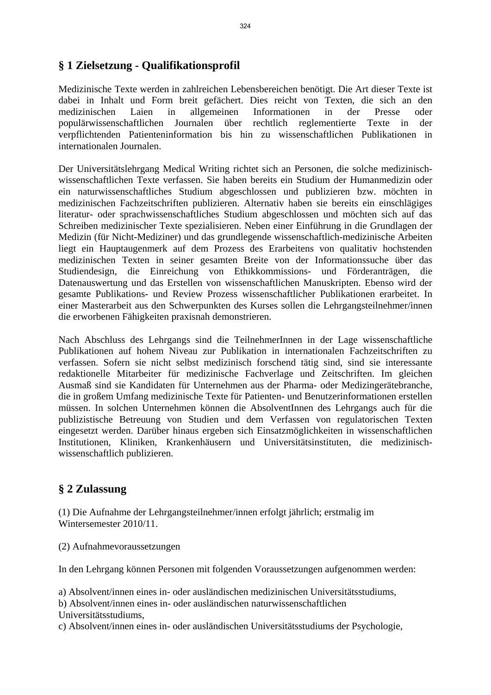# **§ 1 Zielsetzung - Qualifikationsprofil**

Medizinische Texte werden in zahlreichen Lebensbereichen benötigt. Die Art dieser Texte ist dabei in Inhalt und Form breit gefächert. Dies reicht von Texten, die sich an den medizinischen Laien in allgemeinen Informationen in der Presse oder populärwissenschaftlichen Journalen über rechtlich reglementierte Texte in der verpflichtenden Patienteninformation bis hin zu wissenschaftlichen Publikationen in internationalen Journalen.

Der Universitätslehrgang Medical Writing richtet sich an Personen, die solche medizinischwissenschaftlichen Texte verfassen. Sie haben bereits ein Studium der Humanmedizin oder ein naturwissenschaftliches Studium abgeschlossen und publizieren bzw. möchten in medizinischen Fachzeitschriften publizieren. Alternativ haben sie bereits ein einschlägiges literatur- oder sprachwissenschaftliches Studium abgeschlossen und möchten sich auf das Schreiben medizinischer Texte spezialisieren. Neben einer Einführung in die Grundlagen der Medizin (für Nicht-Mediziner) und das grundlegende wissenschaftlich-medizinische Arbeiten liegt ein Hauptaugenmerk auf dem Prozess des Erarbeitens von qualitativ hochstenden medizinischen Texten in seiner gesamten Breite von der Informationssuche über das Studiendesign, die Einreichung von Ethikkommissions- und Förderanträgen, die Datenauswertung und das Erstellen von wissenschaftlichen Manuskripten. Ebenso wird der gesamte Publikations- und Review Prozess wissenschaftlicher Publikationen erarbeitet. In einer Masterarbeit aus den Schwerpunkten des Kurses sollen die Lehrgangsteilnehmer/innen die erworbenen Fähigkeiten praxisnah demonstrieren.

Nach Abschluss des Lehrgangs sind die TeilnehmerInnen in der Lage wissenschaftliche Publikationen auf hohem Niveau zur Publikation in internationalen Fachzeitschriften zu verfassen. Sofern sie nicht selbst medizinisch forschend tätig sind, sind sie interessante redaktionelle Mitarbeiter für medizinische Fachverlage und Zeitschriften. Im gleichen Ausmaß sind sie Kandidaten für Unternehmen aus der Pharma- oder Medizingerätebranche, die in großem Umfang medizinische Texte für Patienten- und Benutzerinformationen erstellen müssen. In solchen Unternehmen können die AbsolventInnen des Lehrgangs auch für die publizistische Betreuung von Studien und dem Verfassen von regulatorischen Texten eingesetzt werden. Darüber hinaus ergeben sich Einsatzmöglichkeiten in wissenschaftlichen Institutionen, Kliniken, Krankenhäusern und Universitätsinstituten, die medizinischwissenschaftlich publizieren.

## **§ 2 Zulassung**

(1) Die Aufnahme der Lehrgangsteilnehmer/innen erfolgt jährlich; erstmalig im Wintersemester 2010/11.

(2) Aufnahmevoraussetzungen

In den Lehrgang können Personen mit folgenden Voraussetzungen aufgenommen werden:

a) Absolvent/innen eines in- oder ausländischen medizinischen Universitätsstudiums,

b) Absolvent/innen eines in- oder ausländischen naturwissenschaftlichen

Universitätsstudiums,

c) Absolvent/innen eines in- oder ausländischen Universitätsstudiums der Psychologie,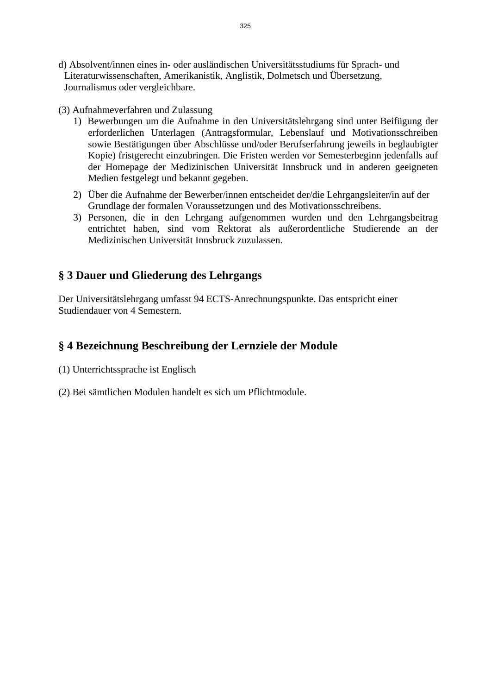- d) Absolvent/innen eines in- oder ausländischen Universitätsstudiums für Sprach- und Literaturwissenschaften, Amerikanistik, Anglistik, Dolmetsch und Übersetzung, Journalismus oder vergleichbare.
- (3) Aufnahmeverfahren und Zulassung
	- 1) Bewerbungen um die Aufnahme in den Universitätslehrgang sind unter Beifügung der erforderlichen Unterlagen (Antragsformular, Lebenslauf und Motivationsschreiben sowie Bestätigungen über Abschlüsse und/oder Berufserfahrung jeweils in beglaubigter Kopie) fristgerecht einzubringen. Die Fristen werden vor Semesterbeginn jedenfalls auf der Homepage der Medizinischen Universität Innsbruck und in anderen geeigneten Medien festgelegt und bekannt gegeben.
	- 2) Über die Aufnahme der Bewerber/innen entscheidet der/die Lehrgangsleiter/in auf der Grundlage der formalen Voraussetzungen und des Motivationsschreibens.
	- 3) Personen, die in den Lehrgang aufgenommen wurden und den Lehrgangsbeitrag entrichtet haben, sind vom Rektorat als außerordentliche Studierende an der Medizinischen Universität Innsbruck zuzulassen.

## **§ 3 Dauer und Gliederung des Lehrgangs**

Der Universitätslehrgang umfasst 94 ECTS-Anrechnungspunkte. Das entspricht einer Studiendauer von 4 Semestern.

#### **§ 4 Bezeichnung Beschreibung der Lernziele der Module**

- (1) Unterrichtssprache ist Englisch
- (2) Bei sämtlichen Modulen handelt es sich um Pflichtmodule.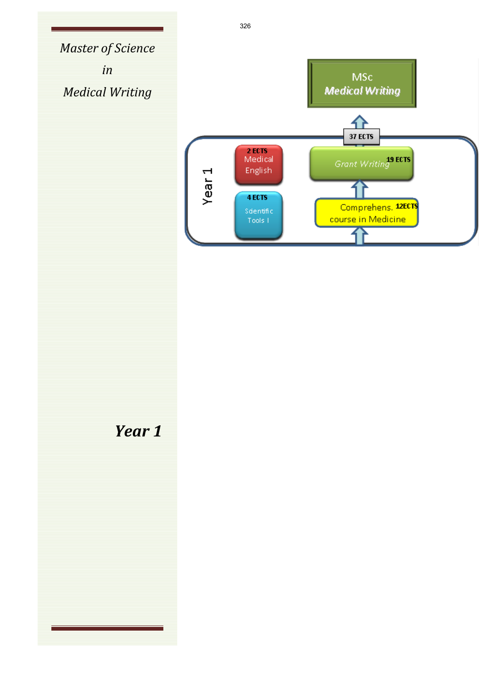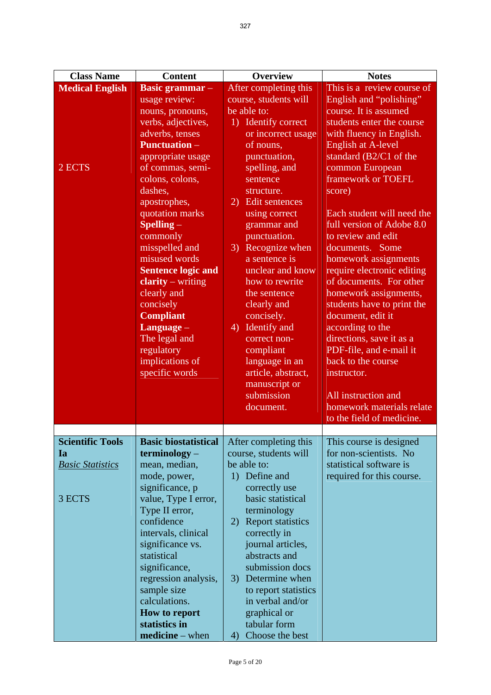| <b>Class Name</b>       | <b>Content</b>                                                                                                                                                                                                                                                                                                                                                                                                                                                       | Overview                                                                                                                                                                                                                                                                                                                                                                                                                                                                                    | <b>Notes</b>                                                                                                                                                                                                                                                                                                                                                                                                                                                                                                                                                                                                                                                                          |
|-------------------------|----------------------------------------------------------------------------------------------------------------------------------------------------------------------------------------------------------------------------------------------------------------------------------------------------------------------------------------------------------------------------------------------------------------------------------------------------------------------|---------------------------------------------------------------------------------------------------------------------------------------------------------------------------------------------------------------------------------------------------------------------------------------------------------------------------------------------------------------------------------------------------------------------------------------------------------------------------------------------|---------------------------------------------------------------------------------------------------------------------------------------------------------------------------------------------------------------------------------------------------------------------------------------------------------------------------------------------------------------------------------------------------------------------------------------------------------------------------------------------------------------------------------------------------------------------------------------------------------------------------------------------------------------------------------------|
| <b>Medical English</b>  | <b>Basic grammar</b> –                                                                                                                                                                                                                                                                                                                                                                                                                                               | After completing this                                                                                                                                                                                                                                                                                                                                                                                                                                                                       | This is a review course of                                                                                                                                                                                                                                                                                                                                                                                                                                                                                                                                                                                                                                                            |
| $2$ ECTS                | usage review:<br>nouns, pronouns,<br>verbs, adjectives,<br>adverbs, tenses<br><b>Punctuation –</b><br>appropriate usage<br>of commas, semi-<br>colons, colons,<br>dashes,<br>apostrophes,<br>quotation marks<br>$S$ pelling $-$<br>commonly<br>misspelled and<br>misused words<br><b>Sentence logic and</b><br>$clarity - writing$<br>clearly and<br>concisely<br><b>Compliant</b><br>Language -<br>The legal and<br>regulatory<br>implications of<br>specific words | course, students will<br>be able to:<br>1) Identify correct<br>or incorrect usage<br>of nouns,<br>punctuation,<br>spelling, and<br>sentence<br>structure.<br>2) Edit sentences<br>using correct<br>grammar and<br>punctuation.<br>3) Recognize when<br>a sentence is<br>unclear and know<br>how to rewrite<br>the sentence<br>clearly and<br>concisely.<br>4) Identify and<br>correct non-<br>compliant<br>language in an<br>article, abstract,<br>manuscript or<br>submission<br>document. | English and "polishing"<br>course. It is assumed<br>students enter the course<br>with fluency in English.<br><b>English at A-level</b><br>standard (B2/C1 of the<br>common European<br>framework or TOEFL<br>score)<br>Each student will need the<br>full version of Adobe 8.0<br>to review and edit<br>documents. Some<br>homework assignments<br>require electronic editing<br>of documents. For other<br>homework assignments,<br>students have to print the<br>document, edit it<br>according to the<br>directions, save it as a<br>PDF-file, and e-mail it<br>back to the course<br>instructor.<br>All instruction and<br>homework materials relate<br>to the field of medicine. |
| <b>Scientific Tools</b> | <b>Basic biostatistical</b>                                                                                                                                                                                                                                                                                                                                                                                                                                          | After completing this                                                                                                                                                                                                                                                                                                                                                                                                                                                                       | This course is designed                                                                                                                                                                                                                                                                                                                                                                                                                                                                                                                                                                                                                                                               |
| <b>Ia</b>               | $terminology -$                                                                                                                                                                                                                                                                                                                                                                                                                                                      | course, students will                                                                                                                                                                                                                                                                                                                                                                                                                                                                       | for non-scientists. No                                                                                                                                                                                                                                                                                                                                                                                                                                                                                                                                                                                                                                                                |
| <b>Basic Statistics</b> | mean, median,                                                                                                                                                                                                                                                                                                                                                                                                                                                        | be able to:                                                                                                                                                                                                                                                                                                                                                                                                                                                                                 | statistical software is                                                                                                                                                                                                                                                                                                                                                                                                                                                                                                                                                                                                                                                               |
| 3 ECTS                  | mode, power,<br>significance, p<br>value, Type I error,<br>Type II error,<br>confidence<br>intervals, clinical<br>significance vs.<br>statistical<br>significance,<br>regression analysis,<br>sample size<br>calculations.<br>How to report<br>statistics in<br>$mediate - when$                                                                                                                                                                                     | 1) Define and<br>correctly use<br>basic statistical<br>terminology<br>2) Report statistics<br>correctly in<br>journal articles,<br>abstracts and<br>submission docs<br>3) Determine when<br>to report statistics<br>in verbal and/or<br>graphical or<br>tabular form<br>Choose the best<br>4)                                                                                                                                                                                               | required for this course.                                                                                                                                                                                                                                                                                                                                                                                                                                                                                                                                                                                                                                                             |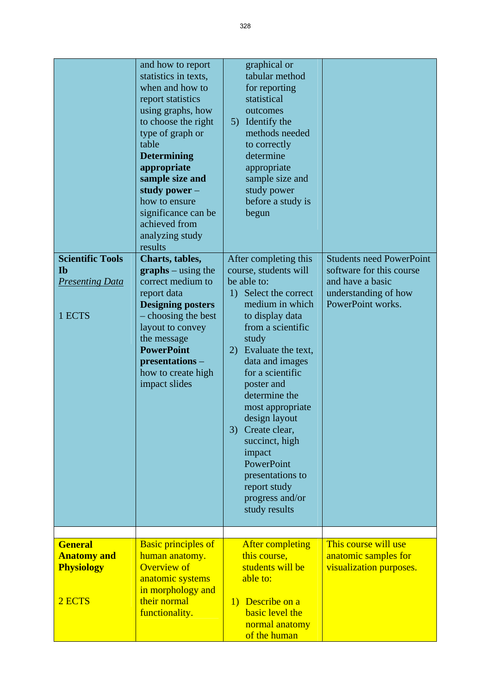| <b>Scientific Tools</b><br><b>Ib</b><br><b>Presenting Data</b><br>1 ECTS | and how to report<br>statistics in texts,<br>when and how to<br>report statistics<br>using graphs, how<br>to choose the right<br>type of graph or<br>table<br><b>Determining</b><br>appropriate<br>sample size and<br>study power $-$<br>how to ensure<br>significance can be<br>achieved from<br>analyzing study<br>results<br>Charts, tables,<br>$graphs - using the$<br>correct medium to<br>report data<br><b>Designing posters</b><br>- choosing the best<br>layout to convey<br>the message<br><b>PowerPoint</b><br>presentations-<br>how to create high<br>impact slides | graphical or<br>tabular method<br>for reporting<br>statistical<br>outcomes<br>5) Identify the<br>methods needed<br>to correctly<br>determine<br>appropriate<br>sample size and<br>study power<br>before a study is<br>begun<br>After completing this<br>course, students will<br>be able to:<br>1) Select the correct<br>medium in which<br>to display data<br>from a scientific<br>study<br>2) Evaluate the text,<br>data and images<br>for a scientific<br>poster and<br>determine the<br>most appropriate<br>design layout<br>3)<br>Create clear,<br>succinct, high<br>impact<br>PowerPoint<br>presentations to<br>report study<br>progress and/or<br>study results | <b>Students need PowerPoint</b><br>software for this course<br>and have a basic<br>understanding of how<br>PowerPoint works. |
|--------------------------------------------------------------------------|---------------------------------------------------------------------------------------------------------------------------------------------------------------------------------------------------------------------------------------------------------------------------------------------------------------------------------------------------------------------------------------------------------------------------------------------------------------------------------------------------------------------------------------------------------------------------------|------------------------------------------------------------------------------------------------------------------------------------------------------------------------------------------------------------------------------------------------------------------------------------------------------------------------------------------------------------------------------------------------------------------------------------------------------------------------------------------------------------------------------------------------------------------------------------------------------------------------------------------------------------------------|------------------------------------------------------------------------------------------------------------------------------|
|                                                                          |                                                                                                                                                                                                                                                                                                                                                                                                                                                                                                                                                                                 |                                                                                                                                                                                                                                                                                                                                                                                                                                                                                                                                                                                                                                                                        |                                                                                                                              |
| <b>General</b><br><b>Anatomy and</b><br><b>Physiology</b><br>2 ECTS      | <b>Basic principles of</b><br>human anatomy.<br><b>Overview of</b><br>anatomic systems<br>in morphology and<br>their normal<br>functionality.                                                                                                                                                                                                                                                                                                                                                                                                                                   | <b>After completing</b><br>this course,<br>students will be<br>able to:<br>1) Describe on a<br><b>basic</b> level the<br>normal anatomy<br>of the human                                                                                                                                                                                                                                                                                                                                                                                                                                                                                                                | This course will use<br>anatomic samples for<br>visualization purposes.                                                      |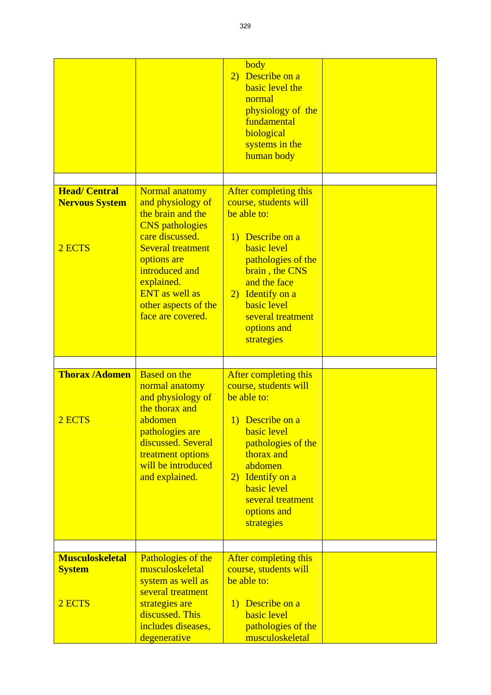|                                                         |                                                                                                                                                                                                                                                        | body<br>2) Describe on a<br>basic level the<br>normal<br>physiology of the<br>fundamental<br>biological<br>systems in the<br>human body                                                                                                                     |  |
|---------------------------------------------------------|--------------------------------------------------------------------------------------------------------------------------------------------------------------------------------------------------------------------------------------------------------|-------------------------------------------------------------------------------------------------------------------------------------------------------------------------------------------------------------------------------------------------------------|--|
| <b>Head/ Central</b><br><b>Nervous System</b><br>2 ECTS | Normal anatomy<br>and physiology of<br>the brain and the<br><b>CNS</b> pathologies<br>care discussed.<br><b>Several treatment</b><br>options are<br>introduced and<br>explained.<br><b>ENT</b> as well as<br>other aspects of the<br>face are covered. | After completing this<br>course, students will<br>be able to:<br>1) Describe on a<br><b>basic</b> level<br>pathologies of the<br>brain, the CNS<br>and the face<br>2) Identify on a<br><b>basic</b> level<br>several treatment<br>options and<br>strategies |  |
| <b>Thorax /Adomen</b><br>2 ECTS                         | <b>Based on the</b><br>normal anatomy<br>and physiology of<br>the thorax and<br>abdomen<br>pathologies are<br>discussed. Several<br>treatment options<br>will be introduced<br>and explained.                                                          | After completing this<br>course, students will<br>be able to:<br>1) Describe on a<br><b>basic</b> level<br>pathologies of the<br>thorax and<br>abdomen<br>2) Identify on a<br><b>basic</b> level<br>several treatment<br>options and<br>strategies          |  |
| <b>Musculoskeletal</b><br><b>System</b><br>2 ECTS       | Pathologies of the<br>musculoskeletal<br>system as well as<br>several treatment<br>strategies are<br>discussed. This<br>includes diseases,<br>degenerative                                                                                             | After completing this<br>course, students will<br>be able to:<br>1) Describe on a<br><b>basic</b> level<br>pathologies of the<br>musculoskeletal                                                                                                            |  |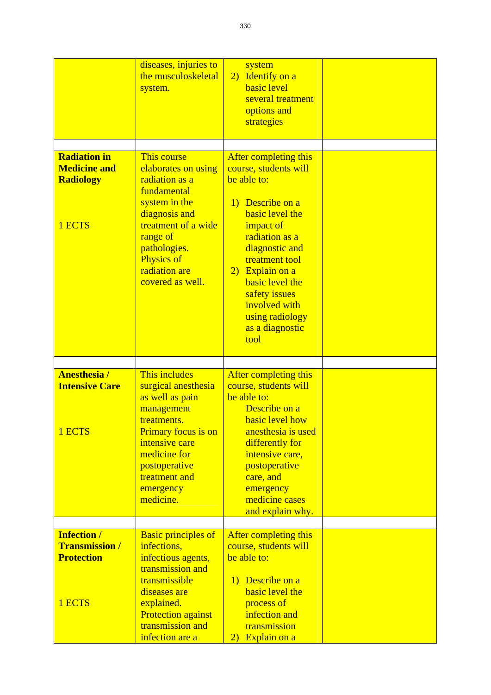|                                                                            | diseases, injuries to<br>the musculoskeletal<br>system.                                                                                                                                                            | system<br>2) Identify on a<br><b>basic</b> level<br>several treatment<br>options and<br>strategies                                                                                                                                                                                                   |  |
|----------------------------------------------------------------------------|--------------------------------------------------------------------------------------------------------------------------------------------------------------------------------------------------------------------|------------------------------------------------------------------------------------------------------------------------------------------------------------------------------------------------------------------------------------------------------------------------------------------------------|--|
| <b>Radiation in</b><br><b>Medicine and</b><br><b>Radiology</b><br>1 ECTS   | This course<br>elaborates on using<br>radiation as a<br>fundamental<br>system in the<br>diagnosis and<br>treatment of a wide<br>range of<br>pathologies.<br><b>Physics of</b><br>radiation are<br>covered as well. | After completing this<br>course, students will<br>be able to:<br>1) Describe on a<br><b>basic</b> level the<br>impact of<br>radiation as a<br>diagnostic and<br>treatment tool<br>2) Explain on a<br>basic level the<br>safety issues<br>involved with<br>using radiology<br>as a diagnostic<br>tool |  |
| <b>Anesthesia/</b><br><b>Intensive Care</b><br>1 ECTS                      | This includes<br>surgical anesthesia<br>as well as pain<br>management<br>treatments.<br>Primary focus is on<br>intensive care<br>medicine for<br>postoperative<br>treatment and<br>emergency<br>medicine.          | After completing this<br>course, students will<br>be able to:<br>Describe on a<br><b>basic level how</b><br>anesthesia is used<br>differently for<br>intensive care,<br>postoperative<br>care, and<br>emergency<br>medicine cases<br>and explain why.                                                |  |
| <b>Infection /</b><br><b>Transmission /</b><br><b>Protection</b><br>1 ECTS | <b>Basic principles of</b><br>infections,<br>infectious agents,<br>transmission and<br>transmissible<br>diseases are<br>explained.<br><b>Protection against</b><br>transmission and<br>infection are a             | After completing this<br>course, students will<br>be able to:<br>1) Describe on a<br>basic level the<br>process of<br>infection and<br>transmission<br>2) Explain on a                                                                                                                               |  |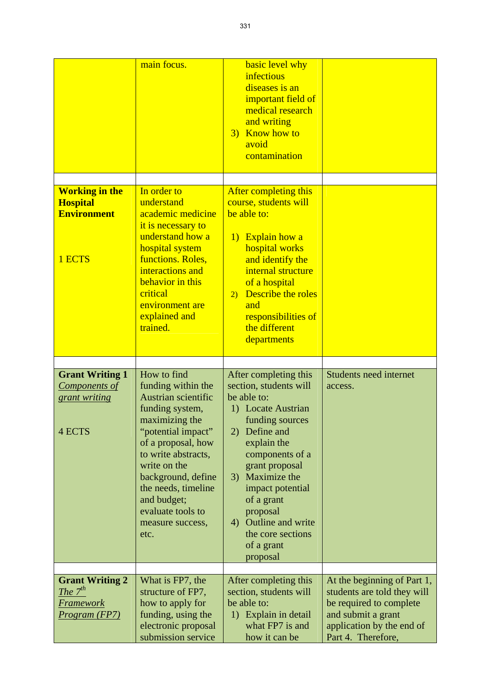|                                                                             | main focus.                                                                                                                                                                                                                                                                                          | basic level why<br>infectious<br>diseases is an<br>important field of<br>medical research<br>and writing<br>3) Know how to<br>avoid<br>contamination                                                                                                                                                                    |                                                                                                                                                                |
|-----------------------------------------------------------------------------|------------------------------------------------------------------------------------------------------------------------------------------------------------------------------------------------------------------------------------------------------------------------------------------------------|-------------------------------------------------------------------------------------------------------------------------------------------------------------------------------------------------------------------------------------------------------------------------------------------------------------------------|----------------------------------------------------------------------------------------------------------------------------------------------------------------|
| <b>Working in the</b><br><b>Hospital</b><br><b>Environment</b><br>1 ECTS    | In order to<br>understand<br>academic medicine<br>it is necessary to<br>understand how a<br>hospital system<br>functions. Roles,<br>interactions and<br>behavior in this<br>critical<br>environment are<br>explained and<br>trained.                                                                 | After completing this<br>course, students will<br>be able to:<br><b>Explain how a</b><br>$\bf{D}$<br>hospital works<br>and identify the<br>internal structure<br>of a hospital<br><b>Describe the roles</b><br>$\overline{2}$<br>and<br>responsibilities of<br>the different<br>departments                             |                                                                                                                                                                |
| <b>Grant Writing 1</b><br>Components of<br>grant writing<br><b>4 ECTS</b>   | How to find<br>funding within the<br><b>Austrian scientific</b><br>funding system,<br>maximizing the<br>"potential impact"<br>of a proposal, how<br>to write abstracts,<br>write on the<br>background, define<br>the needs, timeline<br>and budget;<br>evaluate tools to<br>measure success,<br>etc. | After completing this<br>section, students will<br>be able to:<br>1) Locate Austrian<br>funding sources<br>Define and<br>2)<br>explain the<br>components of a<br>grant proposal<br>3) Maximize the<br>impact potential<br>of a grant<br>proposal<br>4) Outline and write<br>the core sections<br>of a grant<br>proposal | Students need internet<br>access.                                                                                                                              |
| <b>Grant Writing 2</b><br>The $7^{th}$<br><u>Framework</u><br>Program (FP7) | What is FP7, the<br>structure of FP7,<br>how to apply for<br>funding, using the<br>electronic proposal<br>submission service                                                                                                                                                                         | After completing this<br>section, students will<br>be able to:<br>1) Explain in detail<br>what FP7 is and<br>how it can be                                                                                                                                                                                              | At the beginning of Part 1,<br>students are told they will<br>be required to complete<br>and submit a grant<br>application by the end of<br>Part 4. Therefore, |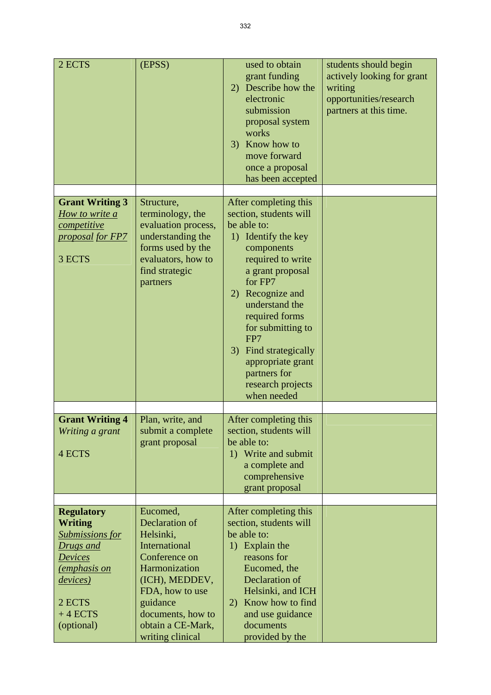| 2 ECTS                                                                                                                                                                                    | (EPSS)                                                                                                                                                                                                           | used to obtain<br>grant funding<br>2) Describe how the<br>electronic<br>submission<br>proposal system<br>works<br>3) Know how to<br>move forward<br>once a proposal<br>has been accepted                                                                                                                                                      | students should begin<br>actively looking for grant<br>writing<br>opportunities/research<br>partners at this time. |
|-------------------------------------------------------------------------------------------------------------------------------------------------------------------------------------------|------------------------------------------------------------------------------------------------------------------------------------------------------------------------------------------------------------------|-----------------------------------------------------------------------------------------------------------------------------------------------------------------------------------------------------------------------------------------------------------------------------------------------------------------------------------------------|--------------------------------------------------------------------------------------------------------------------|
| <b>Grant Writing 3</b><br>How to write a<br>competitive<br>proposal for FP7<br>3 ECTS                                                                                                     | Structure,<br>terminology, the<br>evaluation process,<br>understanding the<br>forms used by the<br>evaluators, how to<br>find strategic<br>partners                                                              | After completing this<br>section, students will<br>be able to:<br>1) Identify the key<br>components<br>required to write<br>a grant proposal<br>for FP7<br>2) Recognize and<br>understand the<br>required forms<br>for submitting to<br>FP7<br>3) Find strategically<br>appropriate grant<br>partners for<br>research projects<br>when needed |                                                                                                                    |
| <b>Grant Writing 4</b><br>Writing a grant<br>4 ECTS                                                                                                                                       | Plan, write, and<br>submit a complete<br>grant proposal                                                                                                                                                          | After completing this<br>section, students will<br>be able to:<br>1) Write and submit<br>a complete and<br>comprehensive<br>grant proposal                                                                                                                                                                                                    |                                                                                                                    |
| <b>Regulatory</b><br><b>Writing</b><br><b>Submissions for</b><br>Drugs and<br><b>Devices</b><br><i><u><b>emphasis on</b></u></i><br><i>devices</i> )<br>2 ECTS<br>$+4$ ECTS<br>(optional) | Eucomed,<br>Declaration of<br>Helsinki,<br><b>International</b><br>Conference on<br>Harmonization<br>(ICH), MEDDEV,<br>FDA, how to use<br>guidance<br>documents, how to<br>obtain a CE-Mark,<br>writing clinical | After completing this<br>section, students will<br>be able to:<br>1) Explain the<br>reasons for<br>Eucomed, the<br>Declaration of<br>Helsinki, and ICH<br>Know how to find<br>2)<br>and use guidance<br>documents<br>provided by the                                                                                                          |                                                                                                                    |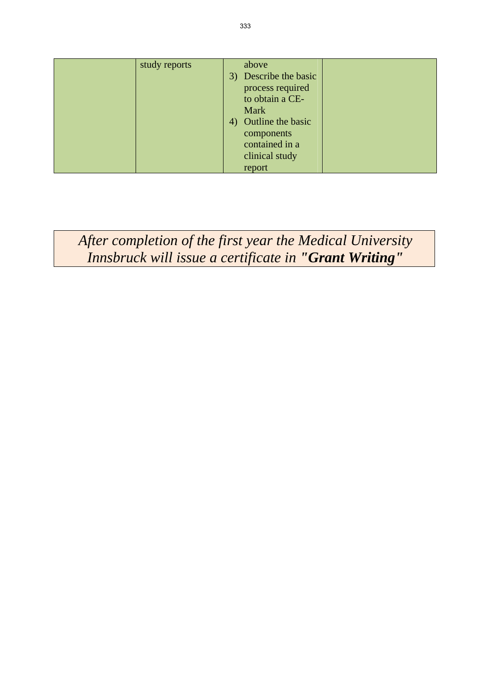| study reports | above                 |  |
|---------------|-----------------------|--|
|               | 3) Describe the basic |  |
|               | process required      |  |
|               | to obtain a CE-       |  |
|               | Mark                  |  |
|               | 4) Outline the basic  |  |
|               | components            |  |
|               | contained in a        |  |
|               | clinical study        |  |
|               |                       |  |
|               | report                |  |

*After completion of the first year the Medical University Innsbruck will issue a certificate in "Grant Writing"*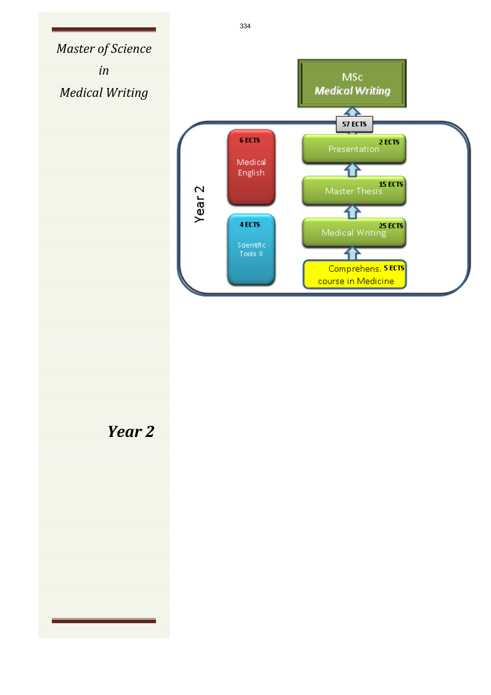334*Master of Science in Medical Writing* 6 ECTS Medical English Year<sub>2</sub> 4 ECTS *Year 2*

**MSc Medical Writing** 

> $\overline{\textbf{A}}$ **57 ECTS**

32

7F

7F

Presentation

IS ECTS<br>Master Thesis

25 ECTS<br>Medical Writing

Comprehens, 5 ECTS course in Medicine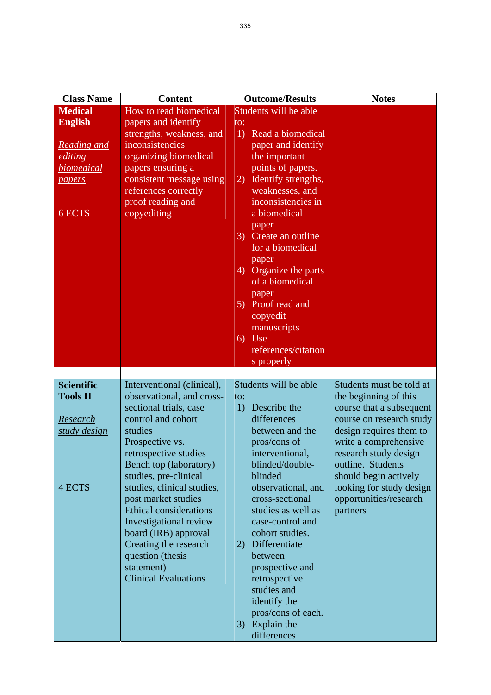| <b>Medical</b><br><b>English</b><br><b>Reading and</b><br>editing<br>biomedical | How to read biomedical<br>papers and identify<br>strengths, weakness, and<br>inconsistencies                                 | Students will be able<br>to:                                                             |                                    |
|---------------------------------------------------------------------------------|------------------------------------------------------------------------------------------------------------------------------|------------------------------------------------------------------------------------------|------------------------------------|
|                                                                                 |                                                                                                                              |                                                                                          |                                    |
|                                                                                 |                                                                                                                              |                                                                                          |                                    |
|                                                                                 |                                                                                                                              | Read a biomedical<br>1)                                                                  |                                    |
|                                                                                 |                                                                                                                              | paper and identify                                                                       |                                    |
|                                                                                 | organizing biomedical                                                                                                        | the important                                                                            |                                    |
|                                                                                 | papers ensuring a                                                                                                            | points of papers.                                                                        |                                    |
| papers                                                                          | consistent message using                                                                                                     | Identify strengths,<br>2)                                                                |                                    |
|                                                                                 | references correctly                                                                                                         | weaknesses, and                                                                          |                                    |
|                                                                                 | proof reading and                                                                                                            | inconsistencies in                                                                       |                                    |
| 6 ECTS                                                                          | copyediting                                                                                                                  | a biomedical                                                                             |                                    |
|                                                                                 |                                                                                                                              | paper                                                                                    |                                    |
|                                                                                 |                                                                                                                              | 3) Create an outline                                                                     |                                    |
|                                                                                 |                                                                                                                              | for a biomedical                                                                         |                                    |
|                                                                                 |                                                                                                                              | paper                                                                                    |                                    |
|                                                                                 |                                                                                                                              | 4) Organize the parts                                                                    |                                    |
|                                                                                 |                                                                                                                              | of a biomedical                                                                          |                                    |
|                                                                                 |                                                                                                                              | paper                                                                                    |                                    |
|                                                                                 |                                                                                                                              | 5) Proof read and                                                                        |                                    |
|                                                                                 |                                                                                                                              | copyedit                                                                                 |                                    |
|                                                                                 |                                                                                                                              | manuscripts                                                                              |                                    |
|                                                                                 |                                                                                                                              | Use<br>6)                                                                                |                                    |
|                                                                                 |                                                                                                                              | references/citation                                                                      |                                    |
|                                                                                 |                                                                                                                              | s properly                                                                               |                                    |
|                                                                                 |                                                                                                                              |                                                                                          |                                    |
| <b>Scientific</b>                                                               | Interventional (clinical),                                                                                                   | Students will be able                                                                    | Students must be told at           |
| <b>Tools II</b>                                                                 | observational, and cross-                                                                                                    | to:                                                                                      | the beginning of this              |
|                                                                                 | sectional trials, case                                                                                                       | Describe the<br>1)                                                                       | course that a subsequent           |
| Research                                                                        | control and cohort                                                                                                           | differences                                                                              | course on research study           |
| studies<br>study design                                                         |                                                                                                                              | between and the                                                                          | design requires them to            |
|                                                                                 | Prospective vs.                                                                                                              | pros/cons of                                                                             | write a comprehensive              |
|                                                                                 | retrospective studies                                                                                                        | interventional,                                                                          | research study design              |
|                                                                                 | Bench top (laboratory)                                                                                                       | blinded/double-<br>blinded                                                               | outline. Students                  |
| 4 ECTS                                                                          | studies, pre-clinical                                                                                                        |                                                                                          | should begin actively              |
|                                                                                 | studies, clinical studies,<br>post market studies                                                                            | observational, and<br>cross-sectional                                                    | looking for study design           |
|                                                                                 |                                                                                                                              |                                                                                          |                                    |
|                                                                                 |                                                                                                                              |                                                                                          |                                    |
|                                                                                 |                                                                                                                              |                                                                                          |                                    |
|                                                                                 |                                                                                                                              |                                                                                          |                                    |
|                                                                                 |                                                                                                                              |                                                                                          |                                    |
|                                                                                 | statement)                                                                                                                   | prospective and                                                                          |                                    |
|                                                                                 | <b>Clinical Evaluations</b>                                                                                                  | retrospective                                                                            |                                    |
|                                                                                 |                                                                                                                              | studies and                                                                              |                                    |
|                                                                                 |                                                                                                                              | identify the                                                                             |                                    |
|                                                                                 |                                                                                                                              | pros/cons of each.                                                                       |                                    |
|                                                                                 |                                                                                                                              | Explain the<br>3)                                                                        |                                    |
|                                                                                 |                                                                                                                              | differences                                                                              |                                    |
|                                                                                 | <b>Ethical considerations</b><br>Investigational review<br>board (IRB) approval<br>Creating the research<br>question (thesis | studies as well as<br>case-control and<br>cohort studies.<br>2) Differentiate<br>between | opportunities/research<br>partners |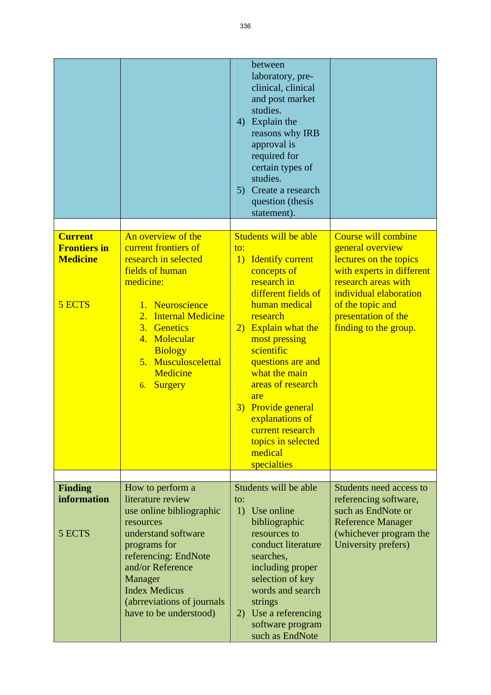|                                                                    |                                                                                                                                                                                                                                                              | between<br>laboratory, pre-<br>clinical, clinical<br>and post market<br>studies.<br>Explain the<br>4)<br>reasons why IRB<br>approval is<br>required for<br>certain types of<br>studies.<br>5) Create a research<br>question (thesis<br>statement).                                                                                                                                                               |                                                                                                                                                                                                                            |
|--------------------------------------------------------------------|--------------------------------------------------------------------------------------------------------------------------------------------------------------------------------------------------------------------------------------------------------------|------------------------------------------------------------------------------------------------------------------------------------------------------------------------------------------------------------------------------------------------------------------------------------------------------------------------------------------------------------------------------------------------------------------|----------------------------------------------------------------------------------------------------------------------------------------------------------------------------------------------------------------------------|
| <b>Current</b><br><b>Frontiers in</b><br><b>Medicine</b><br>5 ECTS | An overview of the<br>current frontiers of<br>research in selected<br>fields of human<br>medicine:<br>1. Neuroscience<br><b>Internal Medicine</b><br>2.<br>3. Genetics<br>4. Molecular<br><b>Biology</b><br>5. Musculoscelettal<br>Medicine<br>6. Surgery    | Students will be able<br>to:<br><b>Identify current</b><br>1)<br>concepts of<br>research in<br>different fields of<br>human medical<br>research<br><b>Explain what the</b><br>$\left( 2\right)$<br>most pressing<br>scientific<br>questions are and<br>what the main<br>areas of research<br>are<br>Provide general<br>3)<br>explanations of<br>current research<br>topics in selected<br>medical<br>specialties | <b>Course will combine</b><br>general overview<br>lectures on the topics<br>with experts in different<br>research areas with<br>individual elaboration<br>of the topic and<br>presentation of the<br>finding to the group. |
|                                                                    |                                                                                                                                                                                                                                                              |                                                                                                                                                                                                                                                                                                                                                                                                                  |                                                                                                                                                                                                                            |
| <b>Finding</b><br>information<br>5 ECTS                            | How to perform a<br>literature review<br>use online bibliographic<br>resources<br>understand software<br>programs for<br>referencing: EndNote<br>and/or Reference<br>Manager<br><b>Index Medicus</b><br>(abrreviations of journals<br>have to be understood) | Students will be able<br>to:<br>1)<br>Use online<br>bibliographic<br>resources to<br>conduct literature<br>searches,<br>including proper<br>selection of key<br>words and search<br>strings<br>2) Use a referencing<br>software program<br>such as EndNote                                                                                                                                                       | Students need access to<br>referencing software,<br>such as EndNote or<br><b>Reference Manager</b><br>(whichever program the<br>University prefers)                                                                        |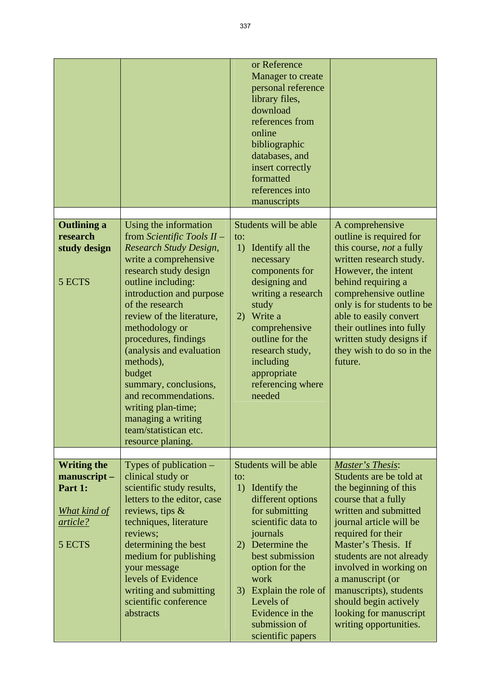|                                                                                           |                                                                                                                                                                                                                                                                                                                                                                                                                                                                           | or Reference<br>Manager to create<br>personal reference<br>library files,<br>download<br>references from<br>online<br>bibliographic<br>databases, and<br>insert correctly<br>formatted<br>references into<br>manuscripts                                                                           |                                                                                                                                                                                                                                                                                                                                                                               |
|-------------------------------------------------------------------------------------------|---------------------------------------------------------------------------------------------------------------------------------------------------------------------------------------------------------------------------------------------------------------------------------------------------------------------------------------------------------------------------------------------------------------------------------------------------------------------------|----------------------------------------------------------------------------------------------------------------------------------------------------------------------------------------------------------------------------------------------------------------------------------------------------|-------------------------------------------------------------------------------------------------------------------------------------------------------------------------------------------------------------------------------------------------------------------------------------------------------------------------------------------------------------------------------|
| <b>Outlining a</b><br>research<br>study design<br>5 ECTS                                  | Using the information<br>from Scientific Tools II -<br>Research Study Design,<br>write a comprehensive<br>research study design<br>outline including:<br>introduction and purpose<br>of the research<br>review of the literature,<br>methodology or<br>procedures, findings<br>(analysis and evaluation<br>methods),<br>budget<br>summary, conclusions,<br>and recommendations.<br>writing plan-time;<br>managing a writing<br>team/statistican etc.<br>resource planing. | Students will be able<br>to:<br>1)<br>Identify all the<br>necessary<br>components for<br>designing and<br>writing a research<br>study<br>Write a<br>2)<br>comprehensive<br>outline for the<br>research study,<br>including<br>appropriate<br>referencing where<br>needed                           | A comprehensive<br>outline is required for<br>this course, not a fully<br>written research study.<br>However, the intent<br>behind requiring a<br>comprehensive outline<br>only is for students to be<br>able to easily convert<br>their outlines into fully<br>written study designs if<br>they wish to do so in the<br>future.                                              |
| <b>Writing the</b><br>manuscript-<br>Part 1:<br><b>What kind of</b><br>article?<br>5 ECTS | Types of publication $-$<br>clinical study or<br>scientific study results,<br>letters to the editor, case<br>reviews, tips $\&$<br>techniques, literature<br>reviews;<br>determining the best<br>medium for publishing<br>your message<br>levels of Evidence<br>writing and submitting<br>scientific conference<br>abstracts                                                                                                                                              | Students will be able<br>to:<br>1)<br>Identify the<br>different options<br>for submitting<br>scientific data to<br>journals<br>Determine the<br>2)<br>best submission<br>option for the<br>work<br>Explain the role of<br>3)<br>Levels of<br>Evidence in the<br>submission of<br>scientific papers | Master's Thesis:<br>Students are be told at<br>the beginning of this<br>course that a fully<br>written and submitted<br>journal article will be<br>required for their<br>Master's Thesis. If<br>students are not already<br>involved in working on<br>a manuscript (or<br>manuscripts), students<br>should begin actively<br>looking for manuscript<br>writing opportunities. |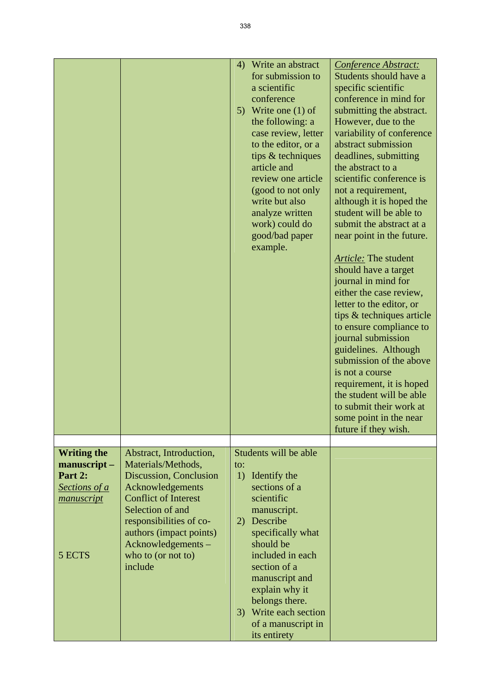|                                                                                              |                                                                                                                                                                                                                                                            | Write an abstract<br>4)<br>for submission to<br>a scientific<br>conference<br>Write one $(1)$ of<br>5)<br>the following: a<br>case review, letter<br>to the editor, or a<br>tips & techniques<br>article and<br>review one article<br>(good to not only<br>write but also<br>analyze written<br>work) could do<br>good/bad paper<br>example. | Conference Abstract:<br>Students should have a<br>specific scientific<br>conference in mind for<br>submitting the abstract.<br>However, due to the<br>variability of conference<br>abstract submission<br>deadlines, submitting<br>the abstract to a<br>scientific conference is<br>not a requirement,<br>although it is hoped the<br>student will be able to<br>submit the abstract at a<br>near point in the future.<br><b>Article:</b> The student<br>should have a target<br>journal in mind for<br>either the case review,<br>letter to the editor, or<br>tips & techniques article<br>to ensure compliance to<br>journal submission<br>guidelines. Although<br>submission of the above<br>is not a course<br>requirement, it is hoped<br>the student will be able<br>to submit their work at<br>some point in the near<br>future if they wish. |
|----------------------------------------------------------------------------------------------|------------------------------------------------------------------------------------------------------------------------------------------------------------------------------------------------------------------------------------------------------------|----------------------------------------------------------------------------------------------------------------------------------------------------------------------------------------------------------------------------------------------------------------------------------------------------------------------------------------------|------------------------------------------------------------------------------------------------------------------------------------------------------------------------------------------------------------------------------------------------------------------------------------------------------------------------------------------------------------------------------------------------------------------------------------------------------------------------------------------------------------------------------------------------------------------------------------------------------------------------------------------------------------------------------------------------------------------------------------------------------------------------------------------------------------------------------------------------------|
|                                                                                              |                                                                                                                                                                                                                                                            |                                                                                                                                                                                                                                                                                                                                              |                                                                                                                                                                                                                                                                                                                                                                                                                                                                                                                                                                                                                                                                                                                                                                                                                                                      |
| <b>Writing the</b><br>manuscript-<br>Part 2:<br>Sections of a<br><i>manuscript</i><br>5 ECTS | Abstract, Introduction,<br>Materials/Methods,<br>Discussion, Conclusion<br>Acknowledgements<br><b>Conflict of Interest</b><br>Selection of and<br>responsibilities of co-<br>authors (impact points)<br>Acknowledgements-<br>who to (or not to)<br>include | Students will be able<br>to:<br>1)<br>Identify the<br>sections of a<br>scientific<br>manuscript.<br>Describe<br>2)<br>specifically what<br>should be<br>included in each<br>section of a<br>manuscript and<br>explain why it<br>belongs there.<br>3) Write each section<br>of a manuscript in<br>its entirety                                |                                                                                                                                                                                                                                                                                                                                                                                                                                                                                                                                                                                                                                                                                                                                                                                                                                                      |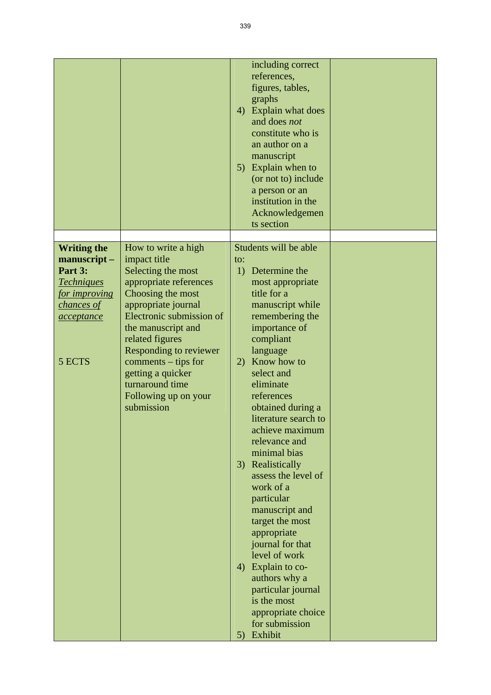|                                                                                                           |                                                                                                                                                                                                                                                                                                                     | 4)<br>5)                    | including correct<br>references,<br>figures, tables,<br>graphs<br>Explain what does<br>and does not<br>constitute who is<br>an author on a<br>manuscript<br>Explain when to<br>(or not to) include<br>a person or an<br>institution in the<br>Acknowledgemen<br>ts section                                                                                                                                                                                                                                                                                             |  |
|-----------------------------------------------------------------------------------------------------------|---------------------------------------------------------------------------------------------------------------------------------------------------------------------------------------------------------------------------------------------------------------------------------------------------------------------|-----------------------------|------------------------------------------------------------------------------------------------------------------------------------------------------------------------------------------------------------------------------------------------------------------------------------------------------------------------------------------------------------------------------------------------------------------------------------------------------------------------------------------------------------------------------------------------------------------------|--|
| <b>Writing the</b>                                                                                        | How to write a high                                                                                                                                                                                                                                                                                                 |                             | Students will be able                                                                                                                                                                                                                                                                                                                                                                                                                                                                                                                                                  |  |
| manuscript-<br>Part 3:<br><b>Techniques</b><br><i>for improving</i><br>chances of<br>acceptance<br>5 ECTS | impact title<br>Selecting the most<br>appropriate references<br>Choosing the most<br>appropriate journal<br>Electronic submission of<br>the manuscript and<br>related figures<br><b>Responding to reviewer</b><br>comments – tips for<br>getting a quicker<br>turnaround time<br>Following up on your<br>submission | to:<br>1)<br>2)<br>3)<br>4) | Determine the<br>most appropriate<br>title for a<br>manuscript while<br>remembering the<br>importance of<br>compliant<br>language<br>Know how to<br>select and<br>eliminate<br>references<br>obtained during a<br>literature search to<br>achieve maximum<br>relevance and<br>minimal bias<br>Realistically<br>assess the level of<br>work of a<br>particular<br>manuscript and<br>target the most<br>appropriate<br>journal for that<br>level of work<br>Explain to co-<br>authors why a<br>particular journal<br>is the most<br>appropriate choice<br>for submission |  |
|                                                                                                           |                                                                                                                                                                                                                                                                                                                     | 5)                          | Exhibit                                                                                                                                                                                                                                                                                                                                                                                                                                                                                                                                                                |  |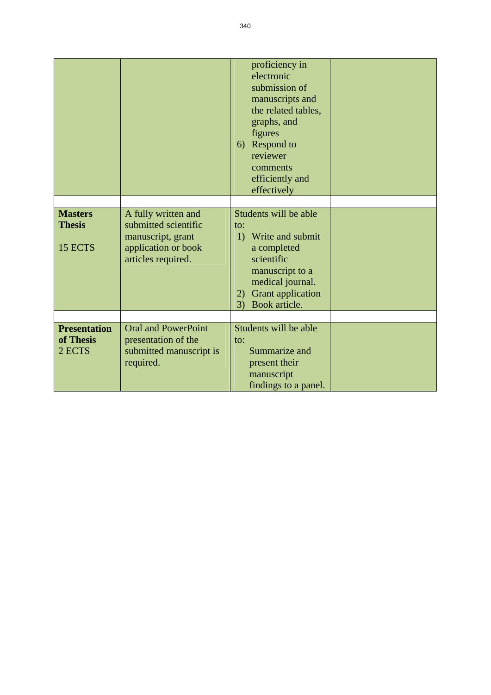|                                            |                                                                                                               | proficiency in<br>electronic<br>submission of<br>manuscripts and<br>the related tables,<br>graphs, and<br>figures<br>6) Respond to<br>reviewer<br>comments<br>efficiently and<br>effectively    |  |
|--------------------------------------------|---------------------------------------------------------------------------------------------------------------|-------------------------------------------------------------------------------------------------------------------------------------------------------------------------------------------------|--|
|                                            |                                                                                                               |                                                                                                                                                                                                 |  |
| <b>Masters</b><br><b>Thesis</b><br>15 ECTS | A fully written and<br>submitted scientific<br>manuscript, grant<br>application or book<br>articles required. | Students will be able<br>$\mathsf{to}$ :<br>Write and submit<br>1)<br>a completed<br>scientific<br>manuscript to a<br>medical journal.<br><b>Grant</b> application<br>2)<br>Book article.<br>3) |  |
|                                            |                                                                                                               |                                                                                                                                                                                                 |  |
| <b>Presentation</b><br>of Thesis<br>2 ECTS | <b>Oral and PowerPoint</b><br>presentation of the<br>submitted manuscript is<br>required.                     | Students will be able<br>$\mathsf{to}$ :<br>Summarize and<br>present their<br>manuscript<br>findings to a panel.                                                                                |  |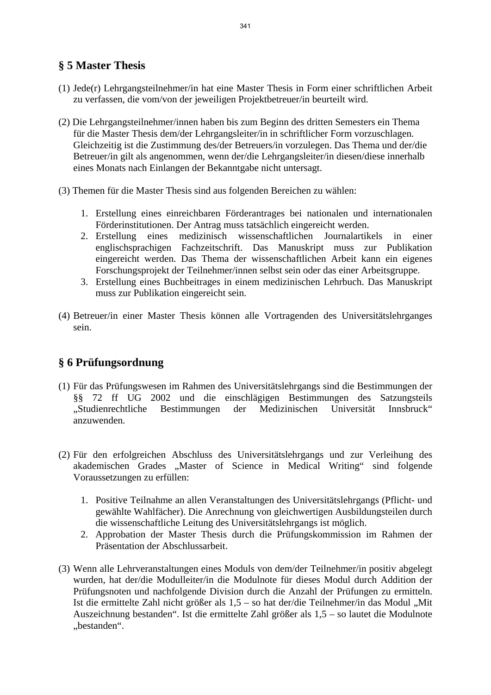#### **§ 5 Master Thesis**

- (1) Jede(r) Lehrgangsteilnehmer/in hat eine Master Thesis in Form einer schriftlichen Arbeit zu verfassen, die vom/von der jeweiligen Projektbetreuer/in beurteilt wird.
- (2) Die Lehrgangsteilnehmer/innen haben bis zum Beginn des dritten Semesters ein Thema für die Master Thesis dem/der Lehrgangsleiter/in in schriftlicher Form vorzuschlagen. Gleichzeitig ist die Zustimmung des/der Betreuers/in vorzulegen. Das Thema und der/die Betreuer/in gilt als angenommen, wenn der/die Lehrgangsleiter/in diesen/diese innerhalb eines Monats nach Einlangen der Bekanntgabe nicht untersagt.
- (3) Themen für die Master Thesis sind aus folgenden Bereichen zu wählen:
	- 1. Erstellung eines einreichbaren Förderantrages bei nationalen und internationalen Förderinstitutionen. Der Antrag muss tatsächlich eingereicht werden.
	- 2. Erstellung eines medizinisch wissenschaftlichen Journalartikels in einer englischsprachigen Fachzeitschrift. Das Manuskript muss zur Publikation eingereicht werden. Das Thema der wissenschaftlichen Arbeit kann ein eigenes Forschungsprojekt der Teilnehmer/innen selbst sein oder das einer Arbeitsgruppe.
	- 3. Erstellung eines Buchbeitrages in einem medizinischen Lehrbuch. Das Manuskript muss zur Publikation eingereicht sein.
- (4) Betreuer/in einer Master Thesis können alle Vortragenden des Universitätslehrganges sein.

#### **§ 6 Prüfungsordnung**

- (1) Für das Prüfungswesen im Rahmen des Universitätslehrgangs sind die Bestimmungen der §§ 72 ff UG 2002 und die einschlägigen Bestimmungen des Satzungsteils "Studienrechtliche Bestimmungen der Medizinischen Universität Innsbruck" anzuwenden.
- (2) Für den erfolgreichen Abschluss des Universitätslehrgangs und zur Verleihung des akademischen Grades "Master of Science in Medical Writing" sind folgende Voraussetzungen zu erfüllen:
	- 1. Positive Teilnahme an allen Veranstaltungen des Universitätslehrgangs (Pflicht- und gewählte Wahlfächer). Die Anrechnung von gleichwertigen Ausbildungsteilen durch die wissenschaftliche Leitung des Universitätslehrgangs ist möglich.
	- 2. Approbation der Master Thesis durch die Prüfungskommission im Rahmen der Präsentation der Abschlussarbeit.
- (3) Wenn alle Lehrveranstaltungen eines Moduls von dem/der Teilnehmer/in positiv abgelegt wurden, hat der/die Modulleiter/in die Modulnote für dieses Modul durch Addition der Prüfungsnoten und nachfolgende Division durch die Anzahl der Prüfungen zu ermitteln. Ist die ermittelte Zahl nicht größer als  $1,5 -$  so hat der/die Teilnehmer/in das Modul "Mit Auszeichnung bestanden". Ist die ermittelte Zahl größer als 1,5 – so lautet die Modulnote .bestanden".